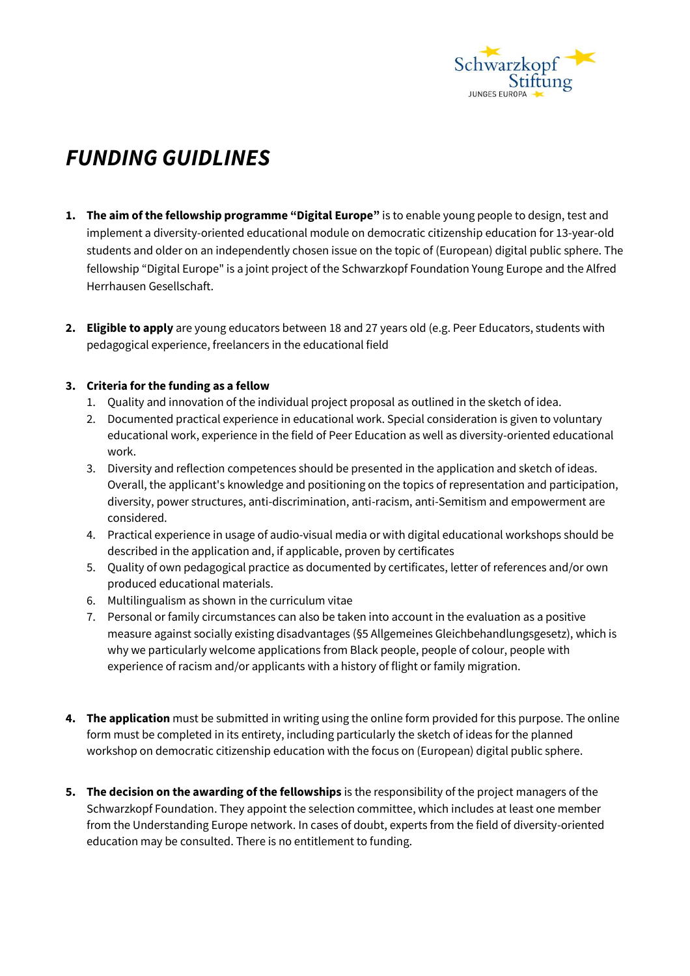

## *FUNDING GUIDLINES*

- **1. The aim of the fellowship programme "Digital Europe"** is to enable young people to design, test and implement a diversity-oriented educational module on democratic citizenship education for 13-year-old students and older on an independently chosen issue on the topic of (European) digital public sphere. The fellowship "Digital Europe" is a joint project of the Schwarzkopf Foundation Young Europe and the Alfred Herrhausen Gesellschaft.
- **2. Eligible to apply** are young educators between 18 and 27 years old (e.g. Peer Educators, students with pedagogical experience, freelancers in the educational field

## **3. Criteria forthe funding as a fellow**

- 1. Quality and innovation of the individual project proposal as outlined in the sketch of idea.
- 2. Documented practical experience in educational work. Special consideration is given to voluntary educational work, experience in the field of Peer Education as well as diversity-oriented educational work.
- 3. Diversity and reflection competences should be presented in the application and sketch of ideas. Overall, the applicant's knowledge and positioning on the topics of representation and participation, diversity, power structures, anti-discrimination, anti-racism, anti-Semitism and empowerment are considered.
- 4. Practical experience in usage of audio-visual media or with digital educational workshops should be described in the application and, if applicable, proven by certificates
- 5. Quality of own pedagogical practice as documented by certificates, letter of references and/or own produced educational materials.
- 6. Multilingualism as shown in the curriculum vitae
- 7. Personal or family circumstances can also be taken into account in the evaluation as a positive measure against socially existing disadvantages (§5 Allgemeines Gleichbehandlungsgesetz), which is why we particularly welcome applications from Black people, people of colour, people with experience of racism and/or applicants with a history of flight or family migration.
- **4. The application** must be submitted in writing using the online form provided for this purpose. The online form must be completed in its entirety, including particularly the sketch of ideas for the planned workshop on democratic citizenship education with the focus on (European) digital public sphere.
- **5. The decision on the awarding of the fellowships** is the responsibility of the project managers of the Schwarzkopf Foundation. They appoint the selection committee, which includes at least one member from the Understanding Europe network. In cases of doubt, experts from the field of diversity-oriented education may be consulted. There is no entitlement to funding.